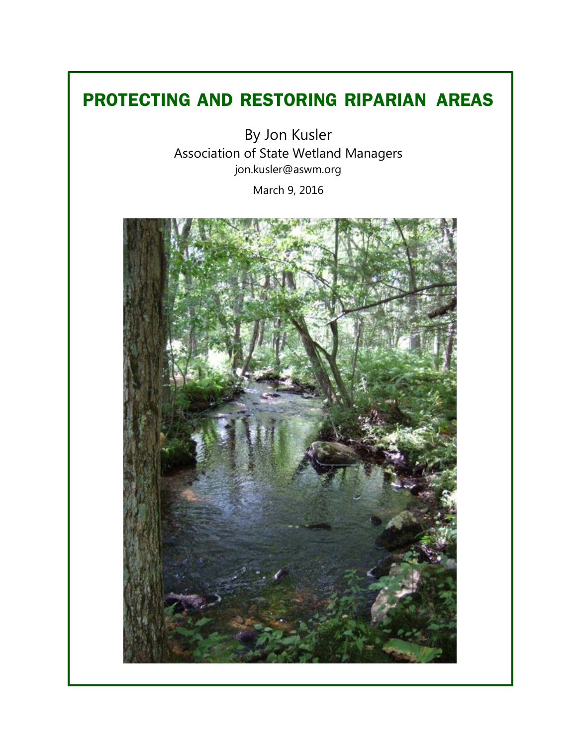# **PROTECTING AND RESTORING RIPARIAN"AREAS**

By Jon Kusler Association of State Wetland Managers [jon.kusler@aswm.org](mailto:jon.kusler@aswm.org) March 9, 2016

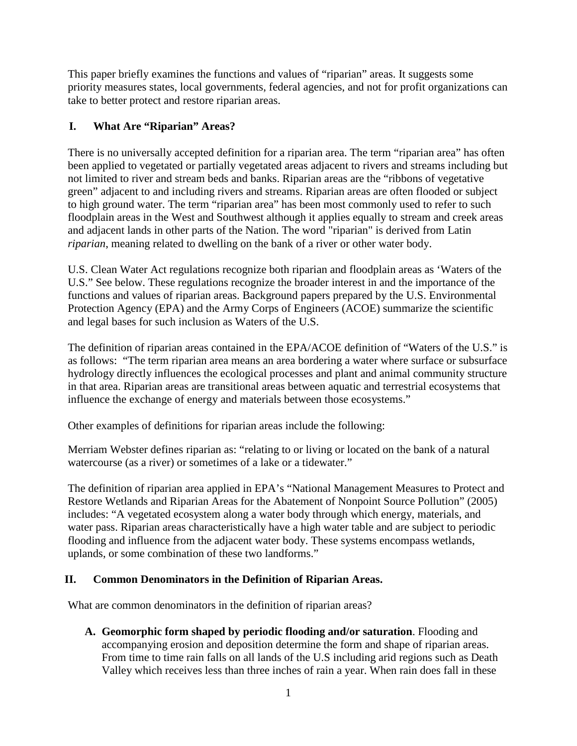This paper briefly examines the functions and values of "riparian" areas. It suggests some priority measures states, local governments, federal agencies, and not for profit organizations can take to better protect and restore riparian areas.

# **I. What Are "Riparian" Areas?**

There is no universally accepted definition for a riparian area. The term "riparian area" has often been applied to vegetated or partially vegetated areas adjacent to rivers and streams including but not limited to river and stream beds and banks. Riparian areas are the "ribbons of vegetative green" adjacent to and including rivers and streams. Riparian areas are often flooded or subject to high ground water. The term "riparian area" has been most commonly used to refer to such floodplain areas in the West and Southwest although it applies equally to stream and creek areas and adjacent lands in other parts of the Nation. The word "riparian" is derived from Latin *riparian*, meaning related to dwelling on the bank of a river or other water body.

U.S. Clean Water Act regulations recognize both riparian and floodplain areas as 'Waters of the U.S." See below. These regulations recognize the broader interest in and the importance of the functions and values of riparian areas. Background papers prepared by the U.S. Environmental Protection Agency (EPA) and the Army Corps of Engineers (ACOE) summarize the scientific and legal bases for such inclusion as Waters of the U.S.

The definition of riparian areas contained in the EPA/ACOE definition of "Waters of the U.S." is as follows: "The term riparian area means an area bordering a water where surface or subsurface hydrology directly influences the ecological processes and plant and animal community structure in that area. Riparian areas are transitional areas between aquatic and terrestrial ecosystems that influence the exchange of energy and materials between those ecosystems."

Other examples of definitions for riparian areas include the following:

Merriam Webster defines riparian as: "relating to or living or located on the bank of a natural watercourse (as a river) or sometimes of a lake or a tidewater."

The definition of riparian area applied in EPA's "National Management Measures to Protect and Restore Wetlands and Riparian Areas for the Abatement of Nonpoint Source Pollution" (2005) includes: "A vegetated ecosystem along a water body through which energy, materials, and water pass. Riparian areas characteristically have a high water table and are subject to periodic flooding and influence from the adjacent water body. These systems encompass wetlands, uplands, or some combination of these two landforms."

# **II. Common Denominators in the Definition of Riparian Areas.**

What are common denominators in the definition of riparian areas?

**A. Geomorphic form shaped by periodic flooding and/or saturation**. Flooding and accompanying erosion and deposition determine the form and shape of riparian areas. From time to time rain falls on all lands of the U.S including arid regions such as Death Valley which receives less than three inches of rain a year. When rain does fall in these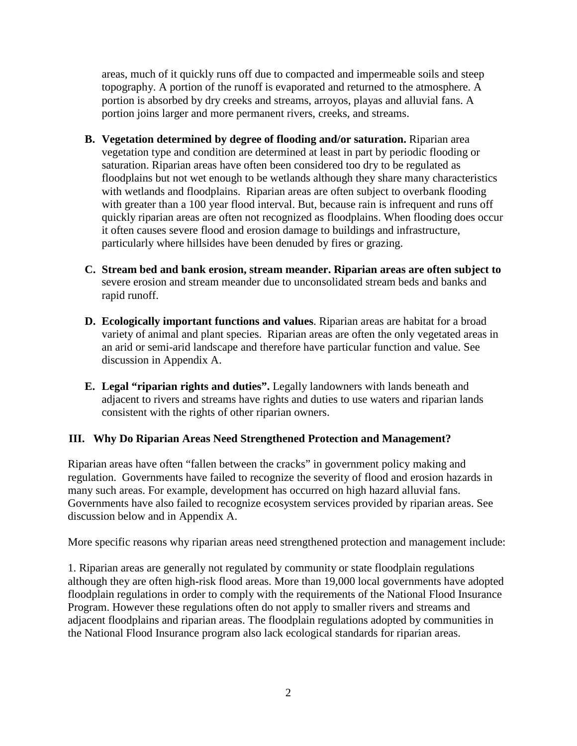areas, much of it quickly runs off due to compacted and impermeable soils and steep topography. A portion of the runoff is evaporated and returned to the atmosphere. A portion is absorbed by dry creeks and streams, arroyos, playas and alluvial fans. A portion joins larger and more permanent rivers, creeks, and streams.

- **B. Vegetation determined by degree of flooding and/or saturation.** Riparian area vegetation type and condition are determined at least in part by periodic flooding or saturation. Riparian areas have often been considered too dry to be regulated as floodplains but not wet enough to be wetlands although they share many characteristics with wetlands and floodplains. Riparian areas are often subject to overbank flooding with greater than a 100 year flood interval. But, because rain is infrequent and runs off quickly riparian areas are often not recognized as floodplains. When flooding does occur it often causes severe flood and erosion damage to buildings and infrastructure, particularly where hillsides have been denuded by fires or grazing.
- **C. Stream bed and bank erosion, stream meander. Riparian areas are often subject to** severe erosion and stream meander due to unconsolidated stream beds and banks and rapid runoff.
- **D. Ecologically important functions and values**. Riparian areas are habitat for a broad variety of animal and plant species. Riparian areas are often the only vegetated areas in an arid or semi-arid landscape and therefore have particular function and value. See discussion in Appendix A.
- **E. Legal "riparian rights and duties".** Legally landowners with lands beneath and adjacent to rivers and streams have rights and duties to use waters and riparian lands consistent with the rights of other riparian owners.

# **III. Why Do Riparian Areas Need Strengthened Protection and Management?**

Riparian areas have often "fallen between the cracks" in government policy making and regulation. Governments have failed to recognize the severity of flood and erosion hazards in many such areas. For example, development has occurred on high hazard alluvial fans. Governments have also failed to recognize ecosystem services provided by riparian areas. See discussion below and in Appendix A.

More specific reasons why riparian areas need strengthened protection and management include:

1. Riparian areas are generally not regulated by community or state floodplain regulations although they are often high**-**risk flood areas. More than 19,000 local governments have adopted floodplain regulations in order to comply with the requirements of the National Flood Insurance Program. However these regulations often do not apply to smaller rivers and streams and adjacent floodplains and riparian areas. The floodplain regulations adopted by communities in the National Flood Insurance program also lack ecological standards for riparian areas.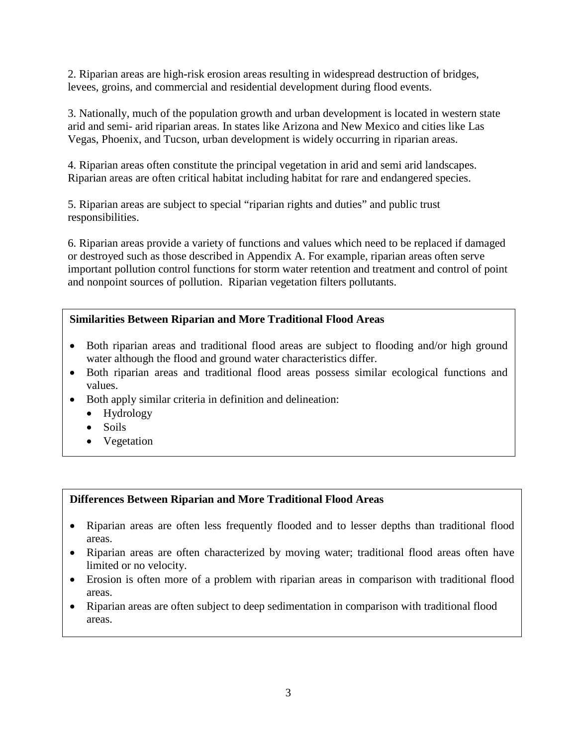2. Riparian areas are high**-**risk erosion areas resulting in widespread destruction of bridges, levees, groins, and commercial and residential development during flood events.

3. Nationally, much of the population growth and urban development is located in western state arid and semi- arid riparian areas. In states like Arizona and New Mexico and cities like Las Vegas, Phoenix, and Tucson, urban development is widely occurring in riparian areas.

4. Riparian areas often constitute the principal vegetation in arid and semi arid landscapes. Riparian areas are often critical habitat including habitat for rare and endangered species.

5. Riparian areas are subject to special "riparian rights and duties" and public trust responsibilities.

6. Riparian areas provide a variety of functions and values which need to be replaced if damaged or destroyed such as those described in Appendix A. For example, riparian areas often serve important pollution control functions for storm water retention and treatment and control of point and nonpoint sources of pollution. Riparian vegetation filters pollutants.

# **Similarities Between Riparian and More Traditional Flood Areas**

- Both riparian areas and traditional flood areas are subject to flooding and/or high ground water although the flood and ground water characteristics differ.
- Both riparian areas and traditional flood areas possess similar ecological functions and values.
- Both apply similar criteria in definition and delineation:
	- Hydrology
	- Soils
	- Vegetation

# **Differences Between Riparian and More Traditional Flood Areas**

- Riparian areas are often less frequently flooded and to lesser depths than traditional flood areas.
- Riparian areas are often characterized by moving water; traditional flood areas often have limited or no velocity.
- Erosion is often more of a problem with riparian areas in comparison with traditional flood areas.
- Riparian areas are often subject to deep sedimentation in comparison with traditional flood areas.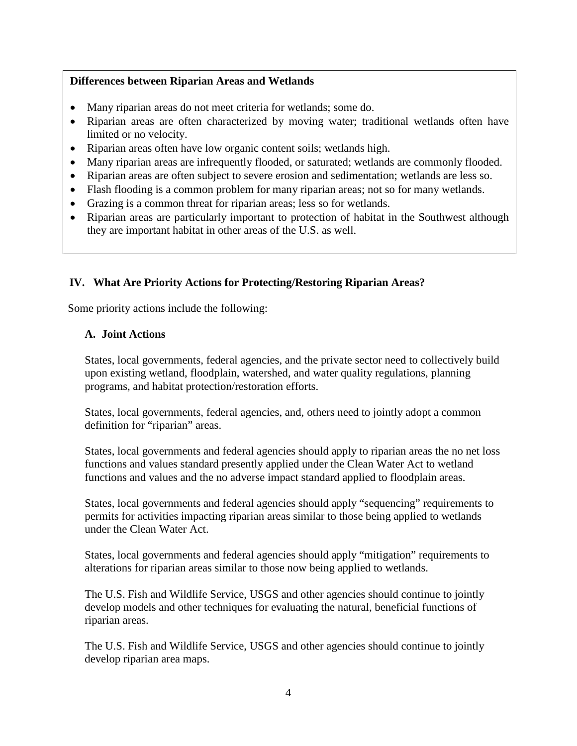# **Differences between Riparian Areas and Wetlands**

- Many riparian areas do not meet criteria for wetlands; some do.
- Riparian areas are often characterized by moving water; traditional wetlands often have limited or no velocity.
- Riparian areas often have low organic content soils; wetlands high.
- Many riparian areas are infrequently flooded, or saturated; wetlands are commonly flooded.
- Riparian areas are often subject to severe erosion and sedimentation; wetlands are less so.
- Flash flooding is a common problem for many riparian areas; not so for many wetlands.
- Grazing is a common threat for riparian areas; less so for wetlands.
- Riparian areas are particularly important to protection of habitat in the Southwest although they are important habitat in other areas of the U.S. as well.

# **IV. What Are Priority Actions for Protecting/Restoring Riparian Areas?**

Some priority actions include the following:

#### **A. Joint Actions**

States, local governments, federal agencies, and the private sector need to collectively build upon existing wetland, floodplain, watershed, and water quality regulations, planning programs, and habitat protection/restoration efforts.

States, local governments, federal agencies, and, others need to jointly adopt a common definition for "riparian" areas.

States, local governments and federal agencies should apply to riparian areas the no net loss functions and values standard presently applied under the Clean Water Act to wetland functions and values and the no adverse impact standard applied to floodplain areas.

States, local governments and federal agencies should apply "sequencing" requirements to permits for activities impacting riparian areas similar to those being applied to wetlands under the Clean Water Act.

States, local governments and federal agencies should apply "mitigation" requirements to alterations for riparian areas similar to those now being applied to wetlands.

The U.S. Fish and Wildlife Service, USGS and other agencies should continue to jointly develop models and other techniques for evaluating the natural, beneficial functions of riparian areas.

The U.S. Fish and Wildlife Service, USGS and other agencies should continue to jointly develop riparian area maps.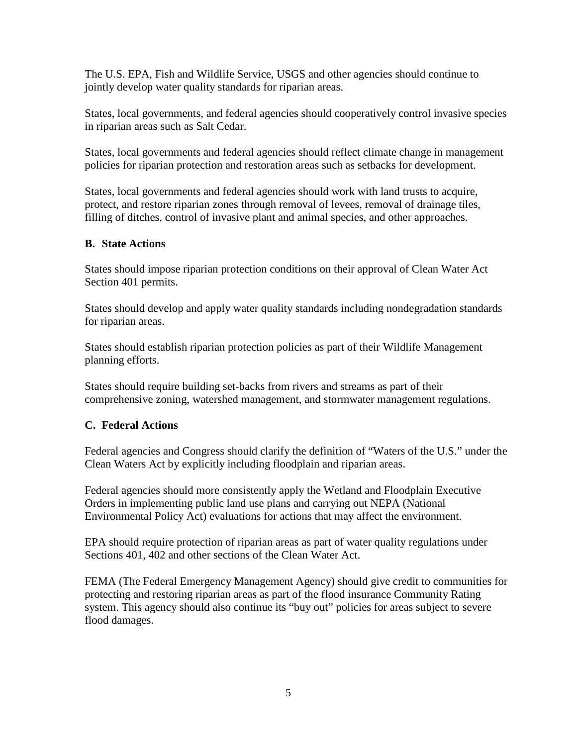The U.S. EPA, Fish and Wildlife Service, USGS and other agencies should continue to jointly develop water quality standards for riparian areas.

States, local governments, and federal agencies should cooperatively control invasive species in riparian areas such as Salt Cedar.

States, local governments and federal agencies should reflect climate change in management policies for riparian protection and restoration areas such as setbacks for development.

States, local governments and federal agencies should work with land trusts to acquire, protect, and restore riparian zones through removal of levees, removal of drainage tiles, filling of ditches, control of invasive plant and animal species, and other approaches.

#### **B. State Actions**

States should impose riparian protection conditions on their approval of Clean Water Act Section 401 permits.

States should develop and apply water quality standards including nondegradation standards for riparian areas.

States should establish riparian protection policies as part of their Wildlife Management planning efforts.

States should require building set-backs from rivers and streams as part of their comprehensive zoning, watershed management, and stormwater management regulations.

#### **C. Federal Actions**

Federal agencies and Congress should clarify the definition of "Waters of the U.S." under the Clean Waters Act by explicitly including floodplain and riparian areas.

Federal agencies should more consistently apply the Wetland and Floodplain Executive Orders in implementing public land use plans and carrying out NEPA (National Environmental Policy Act) evaluations for actions that may affect the environment.

EPA should require protection of riparian areas as part of water quality regulations under Sections 401, 402 and other sections of the Clean Water Act.

FEMA (The Federal Emergency Management Agency) should give credit to communities for protecting and restoring riparian areas as part of the flood insurance Community Rating system. This agency should also continue its "buy out" policies for areas subject to severe flood damages.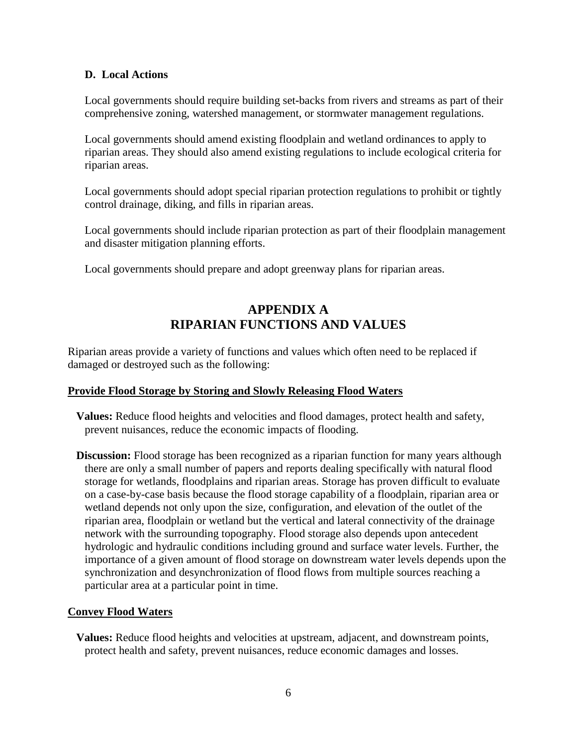#### **D. Local Actions**

Local governments should require building set**-**backs from rivers and streams as part of their comprehensive zoning, watershed management, or stormwater management regulations.

Local governments should amend existing floodplain and wetland ordinances to apply to riparian areas. They should also amend existing regulations to include ecological criteria for riparian areas.

Local governments should adopt special riparian protection regulations to prohibit or tightly control drainage, diking, and fills in riparian areas.

Local governments should include riparian protection as part of their floodplain management and disaster mitigation planning efforts.

Local governments should prepare and adopt greenway plans for riparian areas.

# **APPENDIX A RIPARIAN FUNCTIONS AND VALUES**

Riparian areas provide a variety of functions and values which often need to be replaced if damaged or destroyed such as the following:

# **Provide Flood Storage by Storing and Slowly Releasing Flood Waters**

**Values:** Reduce flood heights and velocities and flood damages, protect health and safety, prevent nuisances, reduce the economic impacts of flooding.

**Discussion:** Flood storage has been recognized as a riparian function for many years although there are only a small number of papers and reports dealing specifically with natural flood storage for wetlands, floodplains and riparian areas. Storage has proven difficult to evaluate on a case-by-case basis because the flood storage capability of a floodplain, riparian area or wetland depends not only upon the size, configuration, and elevation of the outlet of the riparian area, floodplain or wetland but the vertical and lateral connectivity of the drainage network with the surrounding topography. Flood storage also depends upon antecedent hydrologic and hydraulic conditions including ground and surface water levels. Further, the importance of a given amount of flood storage on downstream water levels depends upon the synchronization and desynchronization of flood flows from multiple sources reaching a particular area at a particular point in time.

#### **Convey Flood Waters**

**Values:** Reduce flood heights and velocities at upstream, adjacent, and downstream points, protect health and safety, prevent nuisances, reduce economic damages and losses.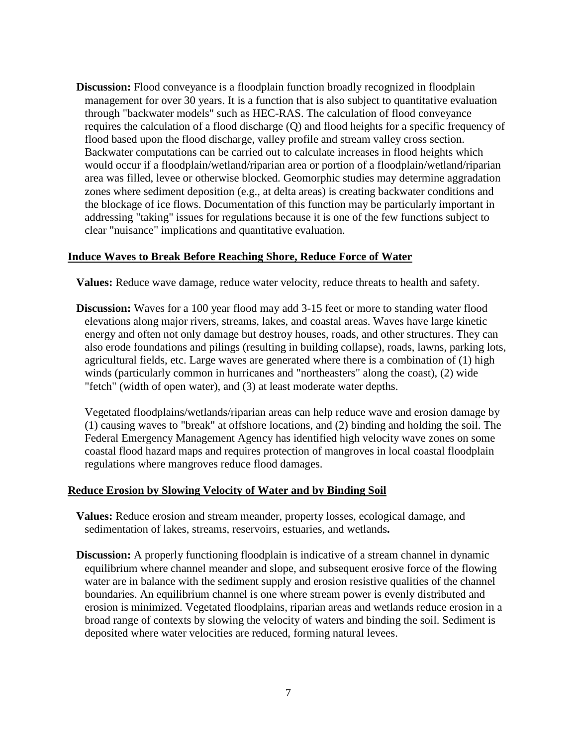**Discussion:** Flood conveyance is a floodplain function broadly recognized in floodplain management for over 30 years. It is a function that is also subject to quantitative evaluation through "backwater models" such as HEC-RAS. The calculation of flood conveyance requires the calculation of a flood discharge (Q) and flood heights for a specific frequency of flood based upon the flood discharge, valley profile and stream valley cross section. Backwater computations can be carried out to calculate increases in flood heights which would occur if a floodplain/wetland/riparian area or portion of a floodplain/wetland/riparian area was filled, levee or otherwise blocked. Geomorphic studies may determine aggradation zones where sediment deposition (e.g., at delta areas) is creating backwater conditions and the blockage of ice flows. Documentation of this function may be particularly important in addressing "taking" issues for regulations because it is one of the few functions subject to clear "nuisance" implications and quantitative evaluation.

#### **Induce Waves to Break Before Reaching Shore, Reduce Force of Water**

**Values:** Reduce wave damage, reduce water velocity, reduce threats to health and safety.

**Discussion:** Waves for a 100 year flood may add 3-15 feet or more to standing water flood elevations along major rivers, streams, lakes, and coastal areas. Waves have large kinetic energy and often not only damage but destroy houses, roads, and other structures. They can also erode foundations and pilings (resulting in building collapse), roads, lawns, parking lots, agricultural fields, etc. Large waves are generated where there is a combination of (1) high winds (particularly common in hurricanes and "northeasters" along the coast), (2) wide "fetch" (width of open water), and (3) at least moderate water depths.

Vegetated floodplains/wetlands/riparian areas can help reduce wave and erosion damage by (1) causing waves to "break" at offshore locations, and (2) binding and holding the soil. The Federal Emergency Management Agency has identified high velocity wave zones on some coastal flood hazard maps and requires protection of mangroves in local coastal floodplain regulations where mangroves reduce flood damages.

#### **Reduce Erosion by Slowing Velocity of Water and by Binding Soil**

- **Values:** Reduce erosion and stream meander, property losses, ecological damage, and sedimentation of lakes, streams, reservoirs, estuaries, and wetlands**.**
- **Discussion:** A properly functioning floodplain is indicative of a stream channel in dynamic equilibrium where channel meander and slope, and subsequent erosive force of the flowing water are in balance with the sediment supply and erosion resistive qualities of the channel boundaries. An equilibrium channel is one where stream power is evenly distributed and erosion is minimized. Vegetated floodplains, riparian areas and wetlands reduce erosion in a broad range of contexts by slowing the velocity of waters and binding the soil. Sediment is deposited where water velocities are reduced, forming natural levees.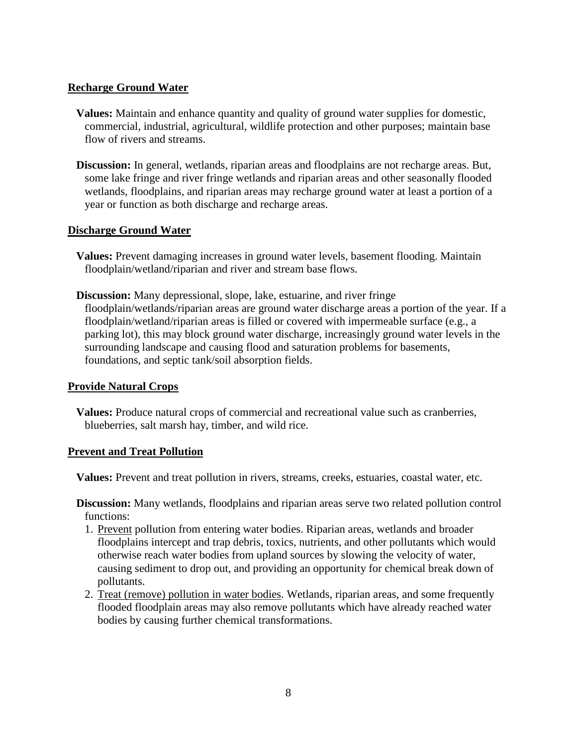#### **Recharge Ground Water**

- **Values:** Maintain and enhance quantity and quality of ground water supplies for domestic, commercial, industrial, agricultural, wildlife protection and other purposes; maintain base flow of rivers and streams.
- **Discussion:** In general, wetlands, riparian areas and floodplains are not recharge areas. But, some lake fringe and river fringe wetlands and riparian areas and other seasonally flooded wetlands, floodplains, and riparian areas may recharge ground water at least a portion of a year or function as both discharge and recharge areas.

#### **Discharge Ground Water**

- **Values:** Prevent damaging increases in ground water levels, basement flooding. Maintain floodplain/wetland/riparian and river and stream base flows.
- **Discussion:** Many depressional, slope, lake, estuarine, and river fringe floodplain/wetlands/riparian areas are ground water discharge areas a portion of the year. If a floodplain/wetland/riparian areas is filled or covered with impermeable surface (e.g., a parking lot), this may block ground water discharge, increasingly ground water levels in the surrounding landscape and causing flood and saturation problems for basements, foundations, and septic tank/soil absorption fields.

# **Provide Natural Crops**

**Values:** Produce natural crops of commercial and recreational value such as cranberries, blueberries, salt marsh hay, timber, and wild rice.

#### **Prevent and Treat Pollution**

**Values:** Prevent and treat pollution in rivers, streams, creeks, estuaries, coastal water, etc.

**Discussion:** Many wetlands, floodplains and riparian areas serve two related pollution control functions:

- 1. Prevent pollution from entering water bodies. Riparian areas, wetlands and broader floodplains intercept and trap debris, toxics, nutrients, and other pollutants which would otherwise reach water bodies from upland sources by slowing the velocity of water, causing sediment to drop out, and providing an opportunity for chemical break down of pollutants.
- 2. Treat (remove) pollution in water bodies. Wetlands, riparian areas, and some frequently flooded floodplain areas may also remove pollutants which have already reached water bodies by causing further chemical transformations.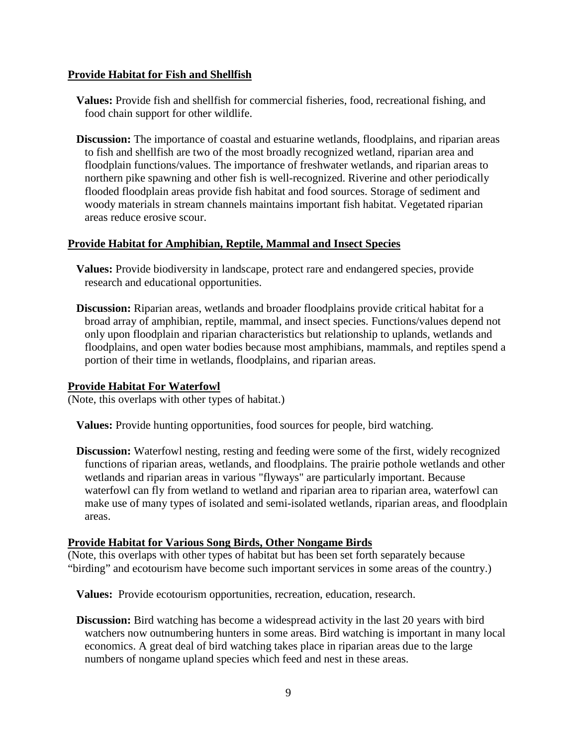#### **Provide Habitat for Fish and Shellfish**

- **Values:** Provide fish and shellfish for commercial fisheries, food, recreational fishing, and food chain support for other wildlife.
- **Discussion:** The importance of coastal and estuarine wetlands, floodplains, and riparian areas to fish and shellfish are two of the most broadly recognized wetland, riparian area and floodplain functions/values. The importance of freshwater wetlands, and riparian areas to northern pike spawning and other fish is well-recognized. Riverine and other periodically flooded floodplain areas provide fish habitat and food sources. Storage of sediment and woody materials in stream channels maintains important fish habitat. Vegetated riparian areas reduce erosive scour.

#### **Provide Habitat for Amphibian, Reptile, Mammal and Insect Species**

- **Values:** Provide biodiversity in landscape, protect rare and endangered species, provide research and educational opportunities.
- **Discussion:** Riparian areas, wetlands and broader floodplains provide critical habitat for a broad array of amphibian, reptile, mammal, and insect species. Functions/values depend not only upon floodplain and riparian characteristics but relationship to uplands, wetlands and floodplains, and open water bodies because most amphibians, mammals, and reptiles spend a portion of their time in wetlands, floodplains, and riparian areas.

#### **Provide Habitat For Waterfowl**

(Note, this overlaps with other types of habitat.)

**Values:** Provide hunting opportunities, food sources for people, bird watching.

**Discussion:** Waterfowl nesting, resting and feeding were some of the first, widely recognized functions of riparian areas, wetlands, and floodplains. The prairie pothole wetlands and other wetlands and riparian areas in various "flyways" are particularly important. Because waterfowl can fly from wetland to wetland and riparian area to riparian area, waterfowl can make use of many types of isolated and semi-isolated wetlands, riparian areas, and floodplain areas.

#### **Provide Habitat for Various Song Birds, Other Nongame Birds**

(Note, this overlaps with other types of habitat but has been set forth separately because "birding" and ecotourism have become such important services in some areas of the country.)

**Values:** Provide ecotourism opportunities, recreation, education, research.

**Discussion:** Bird watching has become a widespread activity in the last 20 years with bird watchers now outnumbering hunters in some areas. Bird watching is important in many local economics. A great deal of bird watching takes place in riparian areas due to the large numbers of nongame upland species which feed and nest in these areas.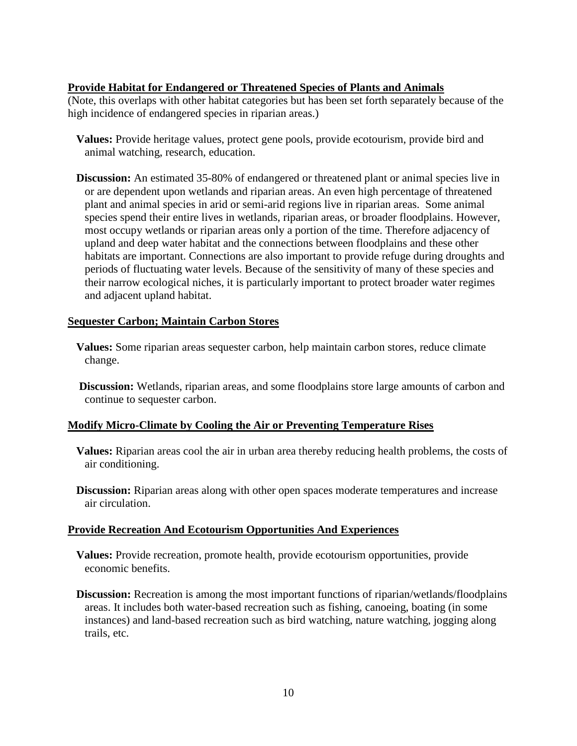### **Provide Habitat for Endangered or Threatened Species of Plants and Animals**

(Note, this overlaps with other habitat categories but has been set forth separately because of the high incidence of endangered species in riparian areas.)

- **Values:** Provide heritage values, protect gene pools, provide ecotourism, provide bird and animal watching, research, education.
- **Discussion:** An estimated 35-80% of endangered or threatened plant or animal species live in or are dependent upon wetlands and riparian areas. An even high percentage of threatened plant and animal species in arid or semi-arid regions live in riparian areas. Some animal species spend their entire lives in wetlands, riparian areas, or broader floodplains. However, most occupy wetlands or riparian areas only a portion of the time. Therefore adjacency of upland and deep water habitat and the connections between floodplains and these other habitats are important. Connections are also important to provide refuge during droughts and periods of fluctuating water levels. Because of the sensitivity of many of these species and their narrow ecological niches, it is particularly important to protect broader water regimes and adjacent upland habitat.

#### **Sequester Carbon; Maintain Carbon Stores**

- **Values:** Some riparian areas sequester carbon, help maintain carbon stores, reduce climate change.
- **Discussion:** Wetlands, riparian areas, and some floodplains store large amounts of carbon and continue to sequester carbon.

#### **Modify Micro-Climate by Cooling the Air or Preventing Temperature Rises**

- **Values:** Riparian areas cool the air in urban area thereby reducing health problems, the costs of air conditioning.
- **Discussion:** Riparian areas along with other open spaces moderate temperatures and increase air circulation.

#### **Provide Recreation And Ecotourism Opportunities And Experiences**

- **Values:** Provide recreation, promote health, provide ecotourism opportunities, provide economic benefits.
- **Discussion:** Recreation is among the most important functions of riparian/wetlands/floodplains areas. It includes both water-based recreation such as fishing, canoeing, boating (in some instances) and land-based recreation such as bird watching, nature watching, jogging along trails, etc.